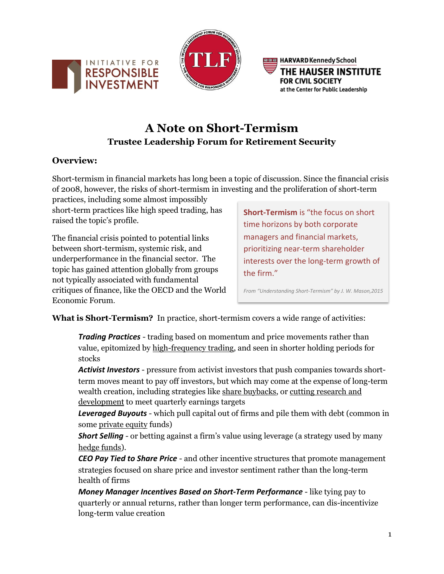



**BREAD** HARVARD Kennedy School THE HAUSER INSTITUTE **FOR CIVIL SOCIETY** at the Center for Public Leadership

# **A Note on Short-Termism Trustee Leadership Forum for Retirement Security**

## **Overview:**

Short-termism in financial markets has long been a topic of discussion. Since the financial crisis of 2008, however, the risks of short-termism in investing and the proliferation of short-term

practices, including some almost impossibly short-term practices like high speed trading, has raised the topic's profile.

The financial crisis pointed to potential links between short-termism, systemic risk, and underperformance in the financial sector. The topic has gained attention globally from groups not typically associated with fundamental critiques of finance, like the OECD and the World Economic Forum.

**Short-Termism** is "the focus on short time horizons by both corporate managers and financial markets, prioritizing near-term shareholder interests over the long-term growth of the firm."

*From "Understanding Short-Termism" by J. W. Mason,2015*

**What is Short-Termism?** In practice, short-termism covers a wide range of activities:

*Trading Practices* - trading based on momentum and price movements rather than value, epitomized by high-frequency trading, and seen in shorter holding periods for stocks

*Activist Investors* - pressure from activist investors that push companies towards shortterm moves meant to pay off investors, but which may come at the expense of long-term wealth creation, including strategies like share buybacks, or cutting research and development to meet quarterly earnings targets

*Leveraged Buyouts* - which pull capital out of firms and pile them with debt (common in some private equity funds)

*Short Selling* - or betting against a firm's value using leverage (a strategy used by many hedge funds).

*CEO Pay Tied to Share Price* - and other incentive structures that promote management strategies focused on share price and investor sentiment rather than the long-term health of firms

*Money Manager Incentives Based on Short-Term Performance* - like tying pay to quarterly or annual returns, rather than longer term performance, can dis-incentivize long-term value creation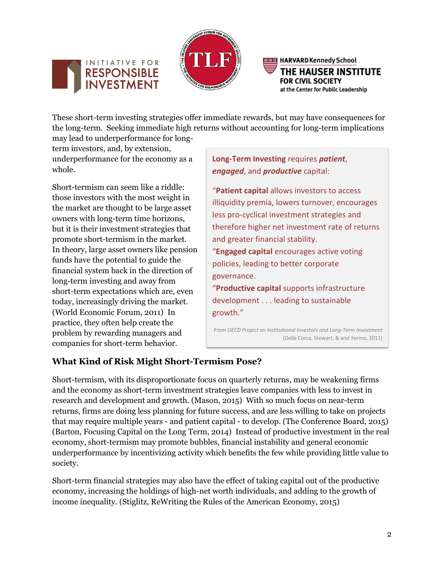



**BREAD** HARVARD Kennedy School THE HAUSER INSTITUTE **FOR CIVIL SOCIETY** at the Center for Public Leadership

These short-term investing strategies offer immediate rewards, but may have consequences for the long-term. Seeking immediate high returns without accounting for long-term implications may lead to underperformance for long-

term investors, and, by extension, underperformance for the economy as a whole.

Short-termism can seem like a riddle: those investors with the most weight in the market are thought to be large asset owners with long-term time horizons, but it is their investment strategies that promote short-termism in the market. In theory, large asset owners like pension funds have the potential to guide the financial system back in the direction of long-term investing and away from short-term expectations which are, even today, increasingly driving the market. (World Economic Forum, 2011) In practice, they often help create the problem by rewarding managers and companies for short-term behavior.

**Long-Term Investing** requires *patient*, *engaged*, and *productive* capital:

"**Patient capital** allows investors to access illiquidity premia, lowers turnover, encourages less pro-cyclical investment strategies and therefore higher net investment rate of returns and greater financial stability. "**Engaged capital** encourages active voting policies, leading to better corporate governance. "**Productive capital** supports infrastructure development . . . leading to sustainable growth."

*From OECD Project on Institutional Investors and Long-Term Investment* (Della Corce, Stewart, & and Yermo, 2011)

# **What Kind of Risk Might Short-Termism Pose?**

Short-termism, with its disproportionate focus on quarterly returns, may be weakening firms and the economy as short-term investment strategies leave companies with less to invest in research and development and growth. (Mason, 2015) With so much focus on near-term returns, firms are doing less planning for future success, and are less willing to take on projects that may require multiple years - and patient capital - to develop. (The Conference Board, 2015) (Barton, Focusing Capital on the Long Term, 2014) Instead of productive investment in the real economy, short-termism may promote bubbles, financial instability and general economic underperformance by incentivizing activity which benefits the few while providing little value to society.

Short-term financial strategies may also have the effect of taking capital out of the productive economy, increasing the holdings of high-net worth individuals, and adding to the growth of income inequality. (Stiglitz, ReWriting the Rules of the American Economy, 2015)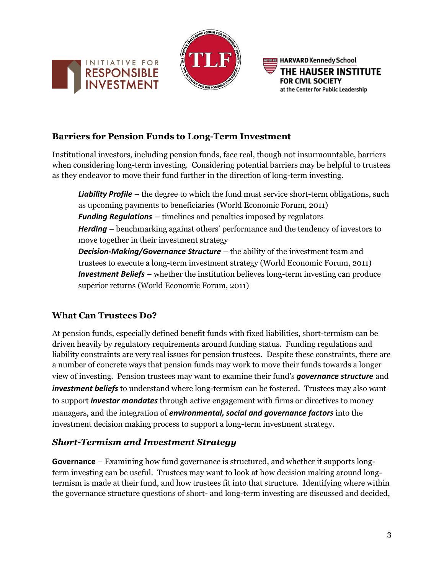





## **Barriers for Pension Funds to Long-Term Investment**

Institutional investors, including pension funds, face real, though not insurmountable, barriers when considering long-term investing. Considering potential barriers may be helpful to trustees as they endeavor to move their fund further in the direction of long-term investing.

**Liability Profile** – the degree to which the fund must service short-term obligations, such as upcoming payments to beneficiaries (World Economic Forum, 2011) *Funding Regulations –* timelines and penalties imposed by regulators *Herding* – benchmarking against others' performance and the tendency of investors to move together in their investment strategy *Decision-Making/Governance Structure* – the ability of the investment team and trustees to execute a long-term investment strategy (World Economic Forum, 2011) *Investment Beliefs* – whether the institution believes long-term investing can produce superior returns (World Economic Forum, 2011)

### **What Can Trustees Do?**

At pension funds, especially defined benefit funds with fixed liabilities, short-termism can be driven heavily by regulatory requirements around funding status. Funding regulations and liability constraints are very real issues for pension trustees. Despite these constraints, there are a number of concrete ways that pension funds may work to move their funds towards a longer view of investing. Pension trustees may want to examine their fund's *governance structure* and *investment beliefs* to understand where long-termism can be fostered. Trustees may also want to support *investor mandates* through active engagement with firms or directives to money managers, and the integration of *environmental, social and governance factors* into the investment decision making process to support a long-term investment strategy.

### *Short-Termism and Investment Strategy*

**Governance** – Examining how fund governance is structured, and whether it supports longterm investing can be useful. Trustees may want to look at how decision making around longtermism is made at their fund, and how trustees fit into that structure. Identifying where within the governance structure questions of short- and long-term investing are discussed and decided,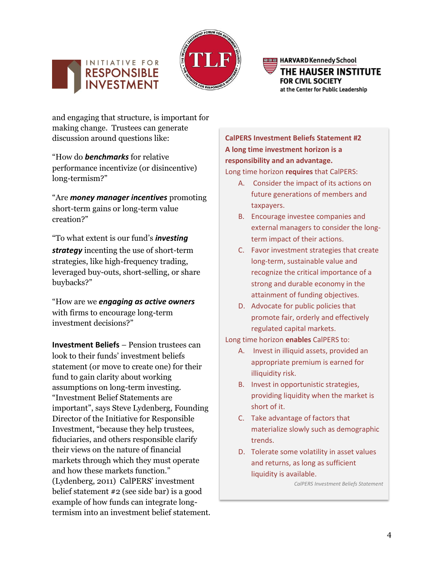



**BBB** HARVARD Kennedy School THE HAUSER INSTITUTE **FOR CIVIL SOCIETY** at the Center for Public Leadership

and engaging that structure, is important for making change. Trustees can generate discussion around questions like:

"How do *benchmarks* for relative performance incentivize (or disincentive) long-termism?"

"Are *money manager incentives* promoting short-term gains or long-term value creation?"

"To what extent is our fund's *investing strategy* incenting the use of short-term strategies, like high-frequency trading, leveraged buy-outs, short-selling, or share buybacks?"

"How are we *engaging as active owners* with firms to encourage long-term investment decisions?"

**Investment Beliefs** – Pension trustees can look to their funds' investment beliefs statement (or move to create one) for their fund to gain clarity about working assumptions on long-term investing. "Investment Belief Statements are important", says Steve Lydenberg, Founding Director of the Initiative for Responsible Investment, "because they help trustees, fiduciaries, and others responsible clarify their views on the nature of financial markets through which they must operate and how these markets function." (Lydenberg, 2011) CalPERS' investment belief statement #2 (see side bar) is a good example of how funds can integrate longtermism into an investment belief statement.

**CalPERS Investment Beliefs Statement #2 A long time investment horizon is a responsibility and an advantage.**

Long time horizon **requires** that CalPERS:

- A. Consider the impact of its actions on future generations of members and taxpayers.
- B. Encourage investee companies and external managers to consider the longterm impact of their actions.
- C. Favor investment strategies that create long-term, sustainable value and recognize the critical importance of a strong and durable economy in the attainment of funding objectives.
- D. Advocate for public policies that promote fair, orderly and effectively regulated capital markets.

Long time horizon **enables** CalPERS to:

- A. Invest in illiquid assets, provided an appropriate premium is earned for illiquidity risk.
- B. Invest in opportunistic strategies, providing liquidity when the market is short of it.
- C. Take advantage of factors that materialize slowly such as demographic trends.
- D. Tolerate some volatility in asset values and returns, as long as sufficient liquidity is available.

*CalPERS Investment Beliefs Statement*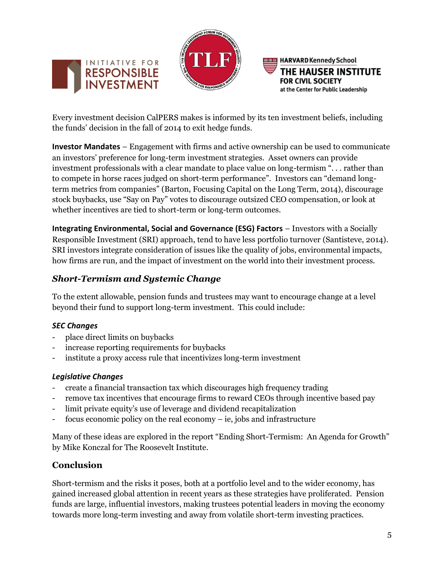





Every investment decision CalPERS makes is informed by its ten investment beliefs, including the funds' decision in the fall of 2014 to exit hedge funds.

**Investor Mandates** – Engagement with firms and active ownership can be used to communicate an investors' preference for long-term investment strategies. Asset owners can provide investment professionals with a clear mandate to place value on long-termism ". . . rather than to compete in horse races judged on short-term performance". Investors can "demand longterm metrics from companies" (Barton, Focusing Capital on the Long Term, 2014), discourage stock buybacks, use "Say on Pay" votes to discourage outsized CEO compensation, or look at whether incentives are tied to short-term or long-term outcomes.

**Integrating Environmental, Social and Governance (ESG) Factors** – Investors with a Socially Responsible Investment (SRI) approach, tend to have less portfolio turnover (Santisteve, 2014). SRI investors integrate consideration of issues like the quality of jobs, environmental impacts, how firms are run, and the impact of investment on the world into their investment process.

# *Short-Termism and Systemic Change*

To the extent allowable, pension funds and trustees may want to encourage change at a level beyond their fund to support long-term investment. This could include:

#### *SEC Changes*

- place direct limits on buybacks
- increase reporting requirements for buybacks
- institute a proxy access rule that incentivizes long-term investment

#### *Legislative Changes*

- create a financial transaction tax which discourages high frequency trading
- remove tax incentives that encourage firms to reward CEOs through incentive based pay
- limit private equity's use of leverage and dividend recapitalization
- focus economic policy on the real economy ie, jobs and infrastructure

Many of these ideas are explored in the report "Ending Short-Termism: An Agenda for Growth" by Mike Konczal for The Roosevelt Institute.

### **Conclusion**

Short-termism and the risks it poses, both at a portfolio level and to the wider economy, has gained increased global attention in recent years as these strategies have proliferated. Pension funds are large, influential investors, making trustees potential leaders in moving the economy towards more long-term investing and away from volatile short-term investing practices.